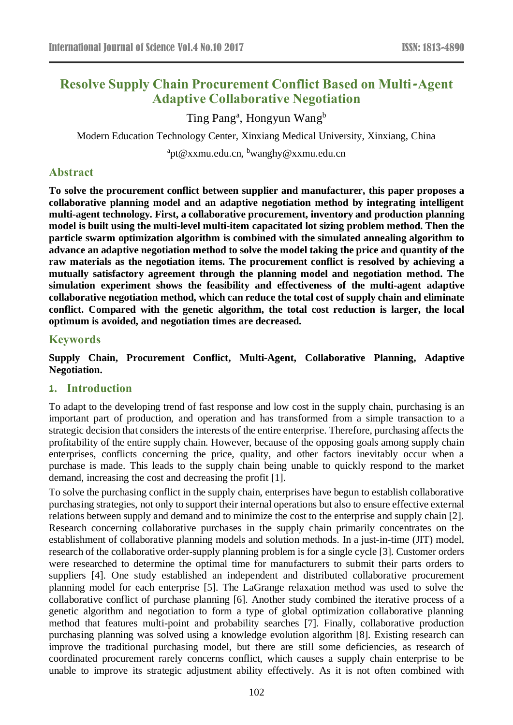# **Resolve Supply Chain Procurement Conflict Based on Multi-Agent Adaptive Collaborative Negotiation**

Ting Pang<sup>a</sup>, Hongyun Wang<sup>b</sup>

Modern Education Technology Center, Xinxiang Medical University, Xinxiang, China

 $\rm{^a}pt@x$ xmu.edu.cn,  $\rm{^b}wang$ hy@xxmu.edu.cn

# **Abstract**

**To solve the procurement conflict between supplier and manufacturer, this paper proposes a collaborative planning model and an adaptive negotiation method by integrating intelligent multi-agent technology. First, a collaborative procurement, inventory and production planning model is built using the multi-level multi-item capacitated lot sizing problem method. Then the particle swarm optimization algorithm is combined with the simulated annealing algorithm to advance an adaptive negotiation method to solve the model taking the price and quantity of the raw materials as the negotiation items. The procurement conflict is resolved by achieving a mutually satisfactory agreement through the planning model and negotiation method. The simulation experiment shows the feasibility and effectiveness of the multi-agent adaptive collaborative negotiation method, which can reduce the total cost of supply chain and eliminate conflict. Compared with the genetic algorithm, the total cost reduction is larger, the local optimum is avoided, and negotiation times are decreased.**

# **Keywords**

**Supply Chain, Procurement Conflict, Multi-Agent, Collaborative Planning, Adaptive Negotiation.**

# **1. Introduction**

To adapt to the developing trend of fast response and low cost in the supply chain, purchasing is an important part of production, and operation and has transformed from a simple transaction to a strategic decision that considers the interests of the entire enterprise. Therefore, purchasing affects the profitability of the entire supply chain. However, because of the opposing goals among supply chain enterprises, conflicts concerning the price, quality, and other factors inevitably occur when a purchase is made. This leads to the supply chain being unable to quickly respond to the market demand, increasing the cost and decreasing the profit [1].

To solve the purchasing conflict in the supply chain, enterprises have begun to establish collaborative purchasing strategies, not only to support their internal operations but also to ensure effective external relations between supply and demand and to minimize the cost to the enterprise and supply chain [2]. Research concerning collaborative purchases in the supply chain primarily concentrates on the establishment of collaborative planning models and solution methods. In a just-in-time (JIT) model, research of the collaborative order-supply planning problem is for a single cycle [3]. Customer orders were researched to determine the optimal time for manufacturers to submit their parts orders to suppliers [4]. One study established an independent and distributed collaborative procurement planning model for each enterprise [5]. The LaGrange relaxation method was used to solve the collaborative conflict of purchase planning [6]. Another study combined the iterative process of a genetic algorithm and negotiation to form a type of global optimization collaborative planning method that features multi-point and probability searches [7]. Finally, collaborative production purchasing planning was solved using a knowledge evolution algorithm [8]. Existing research can improve the traditional purchasing model, but there are still some deficiencies, as research of coordinated procurement rarely concerns conflict, which causes a supply chain enterprise to be unable to improve its strategic adjustment ability effectively. As it is not often combined with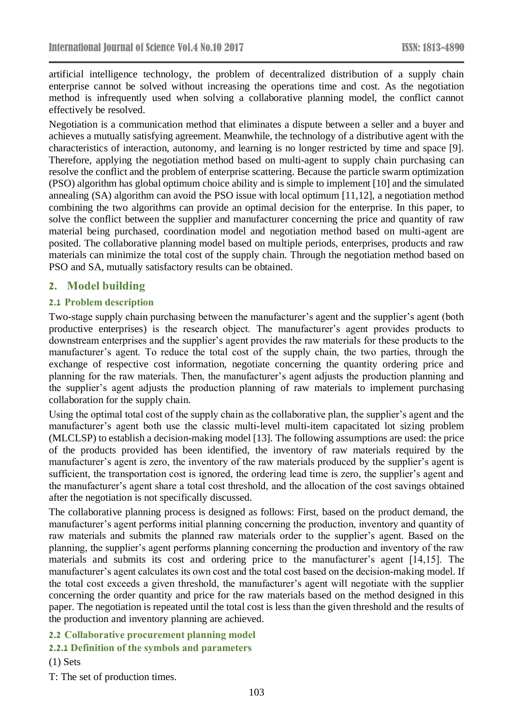artificial intelligence technology, the problem of decentralized distribution of a supply chain enterprise cannot be solved without increasing the operations time and cost. As the negotiation method is infrequently used when solving a collaborative planning model, the conflict cannot effectively be resolved.

Negotiation is a communication method that eliminates a dispute between a seller and a buyer and achieves a mutually satisfying agreement. Meanwhile, the technology of a distributive agent with the characteristics of interaction, autonomy, and learning is no longer restricted by time and space [9]. Therefore, applying the negotiation method based on multi-agent to supply chain purchasing can resolve the conflict and the problem of enterprise scattering. Because the particle swarm optimization (PSO) algorithm has global optimum choice ability and is simple to implement [10] and the simulated annealing (SA) algorithm can avoid the PSO issue with local optimum [11,12], a negotiation method combining the two algorithms can provide an optimal decision for the enterprise. In this paper, to solve the conflict between the supplier and manufacturer concerning the price and quantity of raw material being purchased, coordination model and negotiation method based on multi-agent are posited. The collaborative planning model based on multiple periods, enterprises, products and raw materials can minimize the total cost of the supply chain. Through the negotiation method based on PSO and SA, mutually satisfactory results can be obtained.

# **2. Model building**

### **2.1 Problem description**

Two-stage supply chain purchasing between the manufacturer's agent and the supplier's agent (both productive enterprises) is the research object. The manufacturer's agent provides products to downstream enterprises and the supplier's agent provides the raw materials for these products to the manufacturer's agent. To reduce the total cost of the supply chain, the two parties, through the exchange of respective cost information, negotiate concerning the quantity ordering price and planning for the raw materials. Then, the manufacturer's agent adjusts the production planning and the supplier's agent adjusts the production planning of raw materials to implement purchasing collaboration for the supply chain.

Using the optimal total cost of the supply chain as the collaborative plan, the supplier's agent and the manufacturer's agent both use the classic multi-level multi-item capacitated lot sizing problem (MLCLSP) to establish a decision-making model [13]. The following assumptions are used: the price of the products provided has been identified, the inventory of raw materials required by the manufacturer's agent is zero, the inventory of the raw materials produced by the supplier's agent is sufficient, the transportation cost is ignored, the ordering lead time is zero, the supplier's agent and the manufacturer's agent share a total cost threshold, and the allocation of the cost savings obtained after the negotiation is not specifically discussed.

The collaborative planning process is designed as follows: First, based on the product demand, the manufacturer's agent performs initial planning concerning the production, inventory and quantity of raw materials and submits the planned raw materials order to the supplier's agent. Based on the planning, the supplier's agent performs planning concerning the production and inventory of the raw materials and submits its cost and ordering price to the manufacturer's agent [14,15]. The manufacturer's agent calculates its own cost and the total cost based on the decision-making model. If the total cost exceeds a given threshold, the manufacturer's agent will negotiate with the supplier concerning the order quantity and price for the raw materials based on the method designed in this paper. The negotiation is repeated until the total cost is less than the given threshold and the results of the production and inventory planning are achieved.

### **2.2 Collaborative procurement planning model**

# **2.2.1 Definition of the symbols and parameters**

### (1) Sets

T: The set of production times.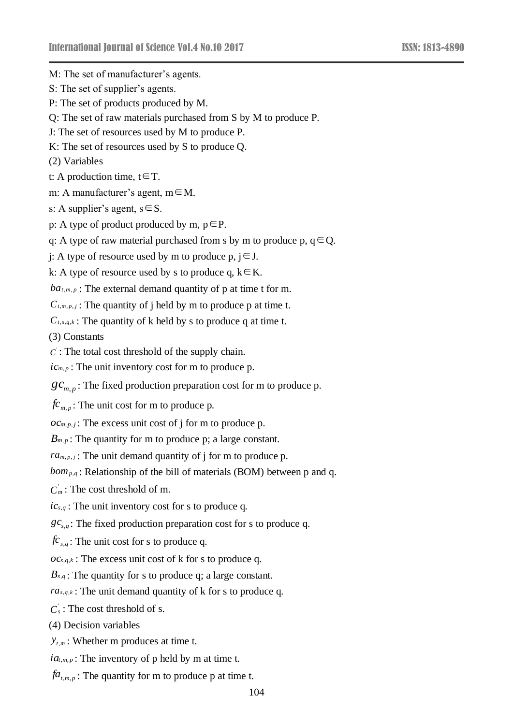M: The set of manufacturer's agents. S: The set of supplier's agents. P: The set of products produced by M. Q: The set of raw materials purchased from S by M to produce P. J: The set of resources used by M to produce P. K: The set of resources used by S to produce Q. (2) Variables t: A production time,  $t \in T$ . m: A manufacturer's agent, m∈M. s: A supplier's agent,  $s \in S$ . p: A type of product produced by m,  $p \in P$ . q: A type of raw material purchased from s by m to produce p,  $q \in Q$ . j: A type of resource used by m to produce p,  $j \in J$ . k: A type of resource used by s to produce q,  $k \in K$ .  $ba$ <sup>*t*</sup>,*m*,*p* : The external demand quantity of p at time t for m.  $C_{t,m,p,j}$ : The quantity of j held by m to produce p at time t. *C<sup>t</sup>*,*s*,*q*,*<sup>k</sup>* : The quantity of k held by s to produce q at time t. (3) Constants  $C$ : The total cost threshold of the supply chain.  $ic_{m,p}$ : The unit inventory cost for m to produce p.  $gc_{m,p}$ : The fixed production preparation cost for m to produce p.  $f_{\mathcal{C}_{m,p}}$ : The unit cost for m to produce p.  $oc_{m,p,j}$ : The excess unit cost of j for m to produce p. *B*<sup>*m*</sup>,*p* : The quantity for m to produce p; a large constant.  $ra_{m,p,j}$ : The unit demand quantity of j for m to produce p. *bom<sup>p</sup>*,*<sup>q</sup>* : Relationship of the bill of materials (BOM) between p and q.

 $C_m$ : The cost threshold of m.

*ic<sup>s</sup>*,*<sup>q</sup>* : The unit inventory cost for s to produce q.

 $gc_{s,q}$ : The fixed production preparation cost for s to produce q.

*fc<sup>s</sup>*,*<sup>q</sup>* : The unit cost for s to produce q.

*oc<sup>s</sup>*,*q*,*<sup>k</sup>* : The excess unit cost of k for s to produce q.

*B<sup>s</sup>*,*<sup>q</sup>* : The quantity for s to produce q; a large constant.

*ra<sup>s</sup>*,*q*,*<sup>k</sup>* : The unit demand quantity of k for s to produce q.

 $C_s$ : The cost threshold of s.

(4) Decision variables

 $y_{t,m}$ : Whether m produces at time t.

 $ia_{t,m,p}$ : The inventory of p held by m at time t.

 $fa$ <sub>*t*,*m*,*p*</sub>: The quantity for m to produce p at time t.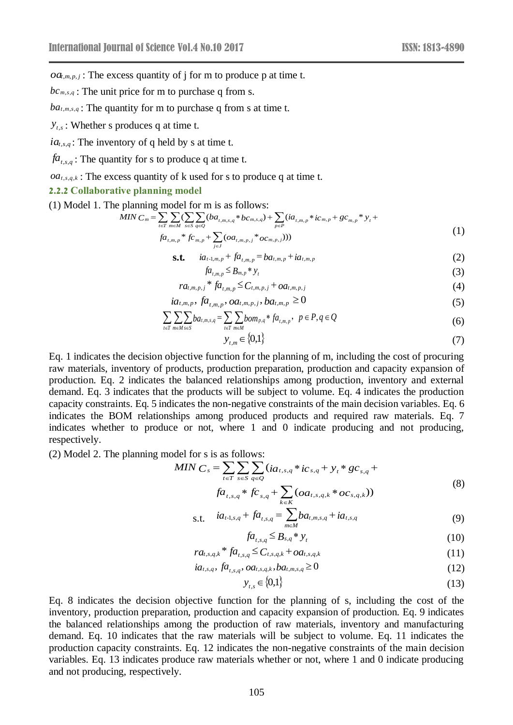$oa_{t,m,p,j}$ : The excess quantity of j for m to produce p at time t.

*bc<sup>m</sup>*,*s*,*<sup>q</sup>* : The unit price for m to purchase q from s.

 $ba$ *t*,*m*,*s*,*q* : The quantity for m to purchase q from s at time t.

*y<sup>t</sup>*,*<sup>s</sup>* : Whether s produces q at time t.

*ia<sup>t</sup>*,*s*,*<sup>q</sup>* : The inventory of q held by s at time t.

 $fa$ <sub>*t*,*s*,*q*</sub> : The quantity for s to produce q at time t.

 $oa_{t,s,q,k}$ : The excess quantity of k used for s to produce q at time t.

*j J*

#### **2.2.2 Collaborative planning model**

(1) Model 1. The planning model for m is as follows:

$$
MIN\ C_m = \sum_{t \in T} \sum_{m \in M} \sum_{s \in S} \sum_{q \in Q} (ba_{t,m,s,q} * bc_{m,s,q}) + \sum_{p \in P} (ia_{t,m,p} * ic_{m,p} + gc_{m,p} * y_t + fa_{t,m,p} * gc_{m,p} + \sum (oa_{t,m,p,j} * oc_{m,p,j})))
$$
\n(1)

$$
\mathbf{s.t.} \quad ia_{t-1,m,p} + fa_{t,m,p} = ba_{t,m,p} + ia_{t,m,p} \tag{2}
$$

$$
f a_{t,m,p} \leq B_{m,p} * y_t \tag{3}
$$

$$
ra_{t,m,p,j} * fa_{t,m,p} \leq C_{t,m,p,j} + oa_{t,m,p,j}
$$
\n(4)

$$
ia_{t,m,p}, fa_{t,m,p}, oa_{t,m,p,j}, ba_{t,m,p} \ge 0
$$
\n(5)

$$
\sum_{t \in T} \sum_{m \in M} \sum_{s \in S} ba_{t,m,s,q} = \sum_{t \in T} \sum_{m \in M} bom_{p,q} * fa_{t,m,p}, \quad p \in P, q \in Q
$$
 (6)

$$
y_{t,m} \in \{0,1\} \tag{7}
$$

*Od*<sub>*nm*,*p*, *j*; The excess quantup or J for m to produce p<br> *On*<sub>*n*-*n*,*z*</sub>; The quantity for m to purchase q from s.<br> *D<sub>i</sub>*,*m*,*z*, The quantity for m to purchase q from s at<br> *D<sub>i</sub>*,*m<sub>a</sub>*; The quantity for m</sub> Eq. 1 indicates the decision objective function for the planning of m, including the cost of procuring raw materials, inventory of products, production preparation, production and capacity expansion of production. Eq. 2 indicates the balanced relationships among production, inventory and external demand. Eq. 3 indicates that the products will be subject to volume. Eq. 4 indicates the production capacity constraints. Eq. 5 indicates the non-negative constraints of the main decision variables. Eq. 6 indicates the BOM relationships among produced products and required raw materials. Eq. 7 indicates whether to produce or not, where 1 and 0 indicate producing and not producing, respectively.

(2) Model 2. The planning model for s is as follows:

MIN 
$$
C_s = \sum_{t \in T} \sum_{s \in S} \sum_{q \in Q} (ia_{t,s,q} * ic_{s,q} + y_t * gc_{s,q} +
$$
  
\n
$$
fa_{t,s,q} * fc_{s,q} + \sum (oa_{t,s,q,k} * oc_{s,q,k}))
$$
\n(8)

s.t. 
$$
ia_{t-1,s,q} + fa_{t,s,q} = \sum_{m \in M} ba_{t,m,s,q} + ia_{t,s,q}
$$
 (9)

$$
f a_{t,s,q} \leq B_{s,q} * y_t \tag{10}
$$

$$
ra_{t,s,q,k} * fa_{t,s,q} \leq C_{t,s,q,k} + oa_{t,s,q,k}
$$
\n(11)

$$
ia_{t,s,q}, fa_{t,s,q}, oa_{t,s,q,k}, ba_{t,m,s,q} \ge 0
$$
\n(12)

$$
y_{t,s} \in \{0,1\} \tag{13}
$$

Eq. 8 indicates the decision objective function for the planning of s, including the cost of the inventory, production preparation, production and capacity expansion of production. Eq. 9 indicates the balanced relationships among the production of raw materials, inventory and manufacturing demand. Eq. 10 indicates that the raw materials will be subject to volume. Eq. 11 indicates the production capacity constraints. Eq. 12 indicates the non-negative constraints of the main decision variables. Eq. 13 indicates produce raw materials whether or not, where 1 and 0 indicate producing and not producing, respectively.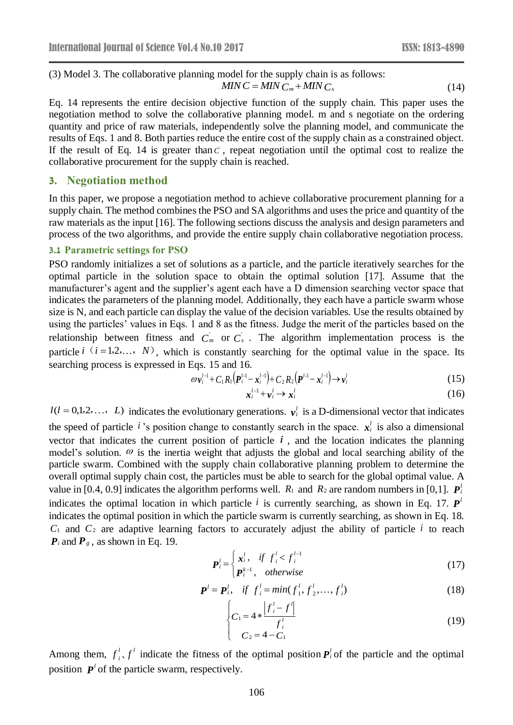(3) Model 3. The collaborative planning model for the supply chain is as follows: 
$$
MINC = MINC_m + MINC_s
$$
 (14)

Eq. 14 represents the entire decision objective function of the supply chain. This paper uses the negotiation method to solve the collaborative planning model. m and s negotiate on the ordering quantity and price of raw materials, independently solve the planning model, and communicate the results of Eqs. 1 and 8. Both parties reduce the entire cost of the supply chain as a constrained object. If the result of Eq. 14 is greater than  $\vec{c}$ , repeat negotiation until the optimal cost to realize the collaborative procurement for the supply chain is reached.

# **3. Negotiation method**

In this paper, we propose a negotiation method to achieve collaborative procurement planning for a supply chain. The method combines the PSO and SA algorithms and uses the price and quantity of the raw materials as the input [16]. The following sections discuss the analysis and design parameters and process of the two algorithms, and provide the entire supply chain collaborative negotiation process.

#### **3.1 Parametric settings for PSO**

PSO randomly initializes a set of solutions as a particle, and the particle iteratively searches for the optimal particle in the solution space to obtain the optimal solution [17]. Assume that the manufacturer's agent and the supplier's agent each have a D dimension searching vector space that indicates the parameters of the planning model. Additionally, they each have a particle swarm whose size is N, and each particle can display the value of the decision variables. Use the results obtained by using the particles' values in Eqs. 1 and 8 as the fitness. Judge the merit of the particles based on the relationship between fitness and  $C_m$  or  $C_s$ . The algorithm implementation process is the particle  $i(i=1,2,..., N)$ , which is constantly searching for the optimal value in the space. Its searching process is expressed in Eqs. 15 and 16.

$$
\omega v_i^{l-1} + C_1 R_1 (P_i^{l-1} - x_i^{l-1}) + C_2 R_2 (P_l^{l-1} - x_i^{l-1}) \rightarrow v_i^l
$$
\n(15)

$$
\mathbf{x}_i^{l-1} + \mathbf{v}_i^l \to \mathbf{x}_i^l \tag{16}
$$

 $l(l = 0,1,2,..., L)$  indicates the evolutionary generations.  $v_i^l$  is a D-dimensional vector that indicates the speed of particle *i*'s position change to constantly search in the space.  $x_i^l$  is also a dimensional vector that indicates the current position of particle  $i$ , and the location indicates the planning model's solution.  $\omega$  is the inertia weight that adjusts the global and local searching ability of the particle swarm. Combined with the supply chain collaborative planning problem to determine the overall optimal supply chain cost, the particles must be able to search for the global optimal value. A value in [0.4, 0.9] indicates the algorithm performs well.  $R_1$  and  $R_2$  are random numbers in [0,1].  $P_i^l$ *P* indicates the optimal location in which particle  $i$  is currently searching, as shown in Eq. 17. *P l* indicates the optimal position in which the particle swarm is currently searching, as shown in Eq. 18.  $C_1$  and  $C_2$  are adaptive learning factors to accurately adjust the ability of particle *i* to reach  $P_i$  and  $P_g$ , as shown in Eq. 19.

$$
\boldsymbol{P}_{i}^{l} = \begin{cases} \boldsymbol{x}_{i}^{l}, & \text{if } \boldsymbol{f}_{i}^{l} < \boldsymbol{f}_{i}^{l-1} \\ \boldsymbol{P}_{i}^{k-1}, & \text{otherwise} \end{cases} \tag{17}
$$

$$
\boldsymbol{P}^{l} = \boldsymbol{P}_{i}^{l}, \quad \text{if} \ \ f_{i}^{l} = \min(f_{1}^{l}, f_{2}^{l}, \dots, f_{i}^{l}) \tag{18}
$$

$$
\begin{cases}\nC_1 = 4 * \frac{|f_i' - f'|}{f_i'} & (19) \\
C_2 = 4 - C_1\n\end{cases}
$$

Among them,  $f_i^l$ ,  $f_i^l$  $\int_{i}^{l} f'$  indicate the fitness of the optimal position  $P_i$  of the particle and the optimal position  $P<sup>l</sup>$  of the particle swarm, respectively.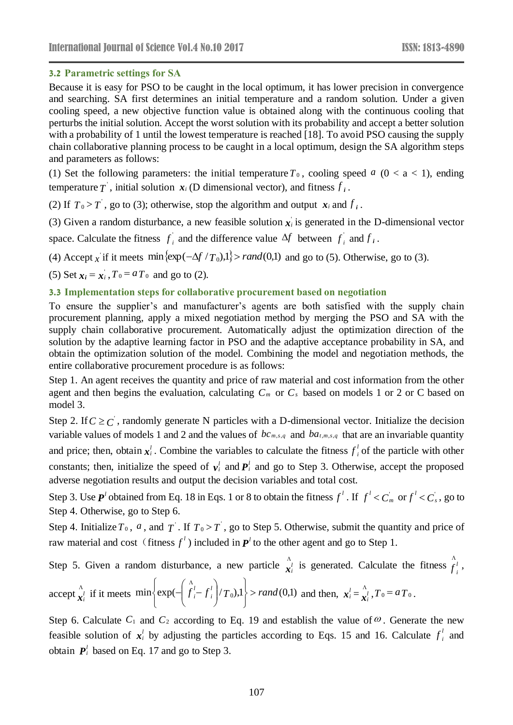### **3.2 Parametric settings for SA**

Because it is easy for PSO to be caught in the local optimum, it has lower precision in convergence and searching. SA first determines an initial temperature and a random solution. Under a given cooling speed, a new objective function value is obtained along with the continuous cooling that perturbs the initial solution. Accept the worst solution with its probability and accept a better solution with a probability of 1 until the lowest temperature is reached [18]. To avoid PSO causing the supply chain collaborative planning process to be caught in a local optimum, design the SA algorithm steps and parameters as follows:

(1) Set the following parameters: the initial temperature  $T_0$ , cooling speed  $a$  ( $0 < a < 1$ ), ending temperature  $T$ , initial solution  $x_i$  (D dimensional vector), and fitness  $f_i$ .

(2) If  $T_0 > T$ , go to (3); otherwise, stop the algorithm and output  $x_i$  and  $f_i$ .

(3) Given a random disturbance, a new feasible solution  $x_i$  is generated in the D-dimensional vector

space. Calculate the fitness  $f_i$  and the differe *f*<sub>i</sub> and the difference value  $\Delta f$  between  $f_i$  and  $f_i$ .  $\int_i$  and  $f_i$ .

(4) Accept x if it meets  $\min{\{\exp(-\Delta f / T_0), 1\}} > rand(0,1)$  and go to (5). Otherwise, go to (3).

(5) Set  $x_i = x_i$ ,  $T_0 = aT_0$  and go to (2).

#### **3.3 Implementation steps for collaborative procurement based on negotiation**

To ensure the supplier's and manufacturer's agents are both satisfied with the supply chain procurement planning, apply a mixed negotiation method by merging the PSO and SA with the supply chain collaborative procurement. Automatically adjust the optimization direction of the solution by the adaptive learning factor in PSO and the adaptive acceptance probability in SA, and obtain the optimization solution of the model. Combining the model and negotiation methods, the entire collaborative procurement procedure is as follows:

Step 1. An agent receives the quantity and price of raw material and cost information from the other agent and then begins the evaluation, calculating  $C_m$  or  $C_s$  based on models 1 or 2 or C based on model 3.

Step 2. If  $C \geq C'$ , randomly generate N particles with a D-dimensional vector. Initialize the decision variable values of models 1 and 2 and the values of  $bc_{m,s,q}$  and  $ba_{t,m,s,q}$  that are an invariable quantity and price; then, obtain  $x_i^l$ . Combine the variables to calculate the fitness  $f_i^l$  of the particle  $\int_{i}^{l}$  of the particle with other constants; then, initialize the speed of  $v_i^l$  and  $P_i^l$  and go to Step 3. Otherwise, accept the proposed adverse negotiation results and output the decision variables and total cost.

Step 3. Use  $P<sup>l</sup>$  obtained from Eq. 18 in Eqs. 1 or 8 to obtain the fitness  $f<sup>l</sup>$ . If  $f<sup>l</sup> < C_m$  or  $f<sup>l</sup> < C_s$ , go to Step 4. Otherwise, go to Step 6.

Step 4. Initialize  $T_0$ ,  $a$ , and  $T$ . If  $T_0 > T$ , go to Step 5. Otherwise, submit the quantity and price of raw material and cost (fitness  $f^l$ ) included in  $P^l$  to the other agent and go to Step 1.

Step 5. Given a random disturbance, a new particle 
$$
\hat{x}_i^l
$$
 is generated. Calculate the fitness  $\hat{f}_i^l$ ,  
accept  $\hat{x}_i^l$  if it meets min  $\left\{ \exp(-\left(\hat{f}_i^l - f_i^l\right)/T_0), 1 \right\}$  > rand(0,1) and then,  $x_i^l = \hat{x}_i^l$ ,  $T_0 = aT_0$ .

Step 6. Calculate  $C_1$  and  $C_2$  according to Eq. 19 and establish the value of  $\omega$ . Generate the new feasible solution of  $x_i^l$  by adjusting the particles according to Eqs. 15 and 16. Calculate  $f_i^l$  and  $\int_{i}^{l}$  and obtain  $P_i^l$  based on Eq. 17 and go to Step 3.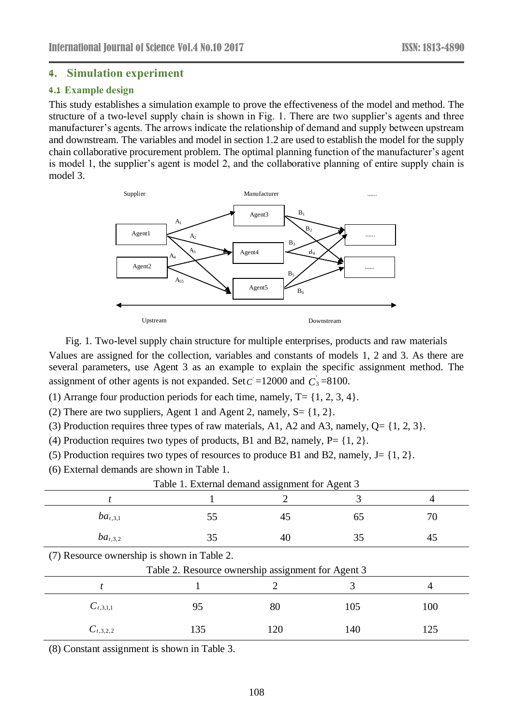### **4. Simulation experiment**

### **4.1 Example design**

This study establishes a simulation example to prove the effectiveness of the model and method. The structure of a two-level supply chain is shown in Fig. 1. There are two supplier's agents and three manufacturer's agents. The arrows indicate the relationship of demand and supply between upstream and downstream. The variables and model in section 1.2 are used to establish the model for the supply chain collaborative procurement problem. The optimal planning function of the manufacturer's agent is model 1, the supplier's agent is model 2, and the collaborative planning of entire supply chain is model 3.



Fig. 1. Two-level supply chain structure for multiple enterprises, products and raw materials Values are assigned for the collection, variables and constants of models 1, 2 and 3. As there are several parameters, use Agent 3 as an example to explain the specific assignment method. The assignment of other agents is not expanded. Set  $C = 12000$  and  $C_3 = 8100$ .

(1) Arrange four production periods for each time, namely,  $T = \{1, 2, 3, 4\}.$ 

(2) There are two suppliers, Agent 1 and Agent 2, namely,  $S = \{1, 2\}$ .

(3) Production requires three types of raw materials, A1, A2 and A3, namely,  $Q = \{1, 2, 3\}$ .

(4) Production requires two types of products, B1 and B2, namely,  $P = \{1, 2\}$ .

- (5) Production requires two types of resources to produce B1 and B2, namely,  $J = \{1, 2\}$ .
- (6) External demands are shown in Table 1.

|                                             | Table 1. External demand assignment for Agent 3    |     |     |     |  |
|---------------------------------------------|----------------------------------------------------|-----|-----|-----|--|
|                                             |                                                    |     |     | 4   |  |
| $ba_{t,3,1}$                                | 55                                                 | 45  | 65  | 70  |  |
| $ba_{t,3,2}$                                | 35                                                 | 40  | 35  | 45  |  |
| (7) Resource ownership is shown in Table 2. |                                                    |     |     |     |  |
|                                             | Table 2. Resource ownership assignment for Agent 3 |     |     |     |  |
|                                             |                                                    | 2   |     | 4   |  |
| $C_{t,3,1,1}$                               | 95                                                 | 80  | 105 | 100 |  |
| $C_{t,3,2,2}$                               | 135                                                | 120 | 140 | 125 |  |
| $(0)$ $(1)$                                 | $\cdot$ m 11 $\land$                               |     |     |     |  |

(8) Constant assignment is shown in Table 3.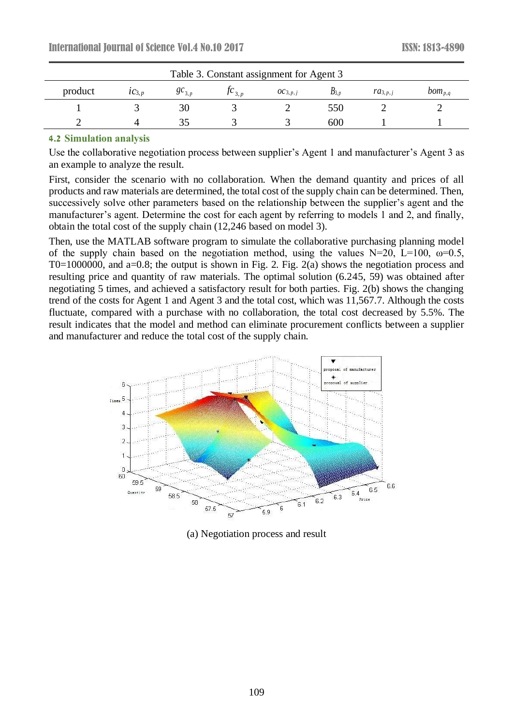| Table 3. Constant assignment for Agent 3 |                      |                     |                       |              |           |              |             |
|------------------------------------------|----------------------|---------------------|-----------------------|--------------|-----------|--------------|-------------|
| product                                  | $\mathcal{IC}_{3,p}$ | $\mathcal{C}_{3,p}$ | $J^{\mathbf{C}}$ 3. p | $OC_{3,p,j}$ | $D_{3,p}$ | $ra_{3,p,j}$ | $bom_{p,q}$ |
|                                          |                      | 30                  |                       |              | 550       |              |             |
|                                          |                      |                     |                       |              | 600       |              |             |

#### **4.2 Simulation analysis**

Use the collaborative negotiation process between supplier's Agent 1 and manufacturer's Agent 3 as an example to analyze the result.

First, consider the scenario with no collaboration. When the demand quantity and prices of all products and raw materials are determined, the total cost of the supply chain can be determined. Then, successively solve other parameters based on the relationship between the supplier's agent and the manufacturer's agent. Determine the cost for each agent by referring to models 1 and 2, and finally, obtain the total cost of the supply chain (12,246 based on model 3).

Then, use the MATLAB software program to simulate the collaborative purchasing planning model of the supply chain based on the negotiation method, using the values N=20, L=100,  $\omega$ =0.5, T0=1000000, and a=0.8; the output is shown in Fig. 2. Fig. 2(a) shows the negotiation process and resulting price and quantity of raw materials. The optimal solution (6.245, 59) was obtained after negotiating 5 times, and achieved a satisfactory result for both parties. Fig. 2(b) shows the changing trend of the costs for Agent 1 and Agent 3 and the total cost, which was 11,567.7. Although the costs fluctuate, compared with a purchase with no collaboration, the total cost decreased by 5.5%. The result indicates that the model and method can eliminate procurement conflicts between a supplier and manufacturer and reduce the total cost of the supply chain.



(a) Negotiation process and result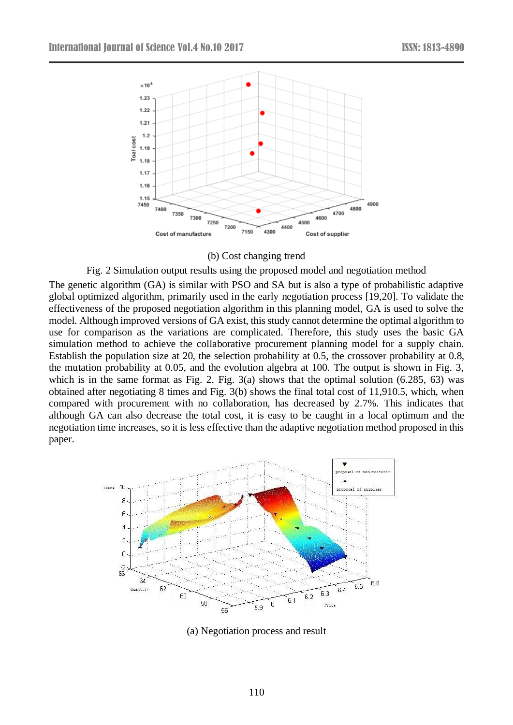

#### (b) Cost changing trend

Fig. 2 Simulation output results using the proposed model and negotiation method

The genetic algorithm (GA) is similar with PSO and SA but is also a type of probabilistic adaptive global optimized algorithm, primarily used in the early negotiation process [19,20]. To validate the effectiveness of the proposed negotiation algorithm in this planning model, GA is used to solve the model. Although improved versions of GA exist, this study cannot determine the optimal algorithm to use for comparison as the variations are complicated. Therefore, this study uses the basic GA simulation method to achieve the collaborative procurement planning model for a supply chain. Establish the population size at 20, the selection probability at 0.5, the crossover probability at 0.8, the mutation probability at 0.05, and the evolution algebra at 100. The output is shown in Fig. 3, which is in the same format as Fig. 2. Fig. 3(a) shows that the optimal solution (6.285, 63) was obtained after negotiating 8 times and Fig. 3(b) shows the final total cost of 11,910.5, which, when compared with procurement with no collaboration, has decreased by 2.7%. This indicates that although GA can also decrease the total cost, it is easy to be caught in a local optimum and the negotiation time increases, so it is less effective than the adaptive negotiation method proposed in this paper.



(a) Negotiation process and result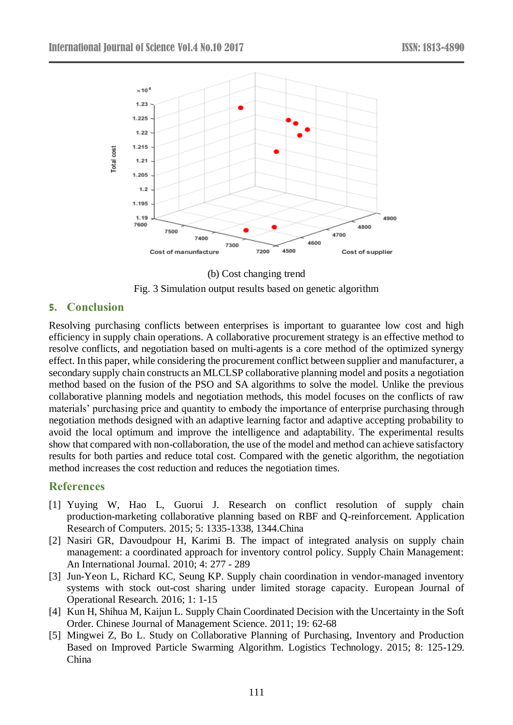

(b) Cost changing trend Fig. 3 Simulation output results based on genetic algorithm

# **5. Conclusion**

Resolving purchasing conflicts between enterprises is important to guarantee low cost and high efficiency in supply chain operations. A collaborative procurement strategy is an effective method to resolve conflicts, and negotiation based on multi-agents is a core method of the optimized synergy effect. In this paper, while considering the procurement conflict between supplier and manufacturer, a secondary supply chain constructs an MLCLSP collaborative planning model and posits a negotiation method based on the fusion of the PSO and SA algorithms to solve the model. Unlike the previous collaborative planning models and negotiation methods, this model focuses on the conflicts of raw materials' purchasing price and quantity to embody the importance of enterprise purchasing through negotiation methods designed with an adaptive learning factor and adaptive accepting probability to avoid the local optimum and improve the intelligence and adaptability. The experimental results show that compared with non-collaboration, the use of the model and method can achieve satisfactory results for both parties and reduce total cost. Compared with the genetic algorithm, the negotiation method increases the cost reduction and reduces the negotiation times.

# **References**

- [1] Yuying W, Hao L, Guorui J. Research on conflict resolution of supply chain production-marketing collaborative planning based on RBF and Q-reinforcement. Application Research of Computers. 2015; 5: 1335-1338, 1344.China
- [2] Nasiri GR, Davoudpour H, Karimi B. The impact of integrated analysis on supply chain management: a coordinated approach for inventory control policy. Supply Chain Management: An International Journal. 2010; 4: 277 - 289
- [3] Jun-Yeon L, Richard KC, Seung KP. Supply chain coordination in vendor-managed inventory systems with stock out-cost sharing under limited storage capacity. European Journal of Operational Research. 2016; 1: 1-15
- [4] Kun H, Shihua M, Kaijun L. Supply Chain Coordinated Decision with the Uncertainty in the Soft Order. Chinese Journal of Management Science. 2011; 19: 62-68
- [5] Mingwei Z, Bo L. Study on Collaborative Planning of Purchasing, Inventory and Production Based on Improved Particle Swarming Algorithm. Logistics Technology. 2015; 8: 125-129. China